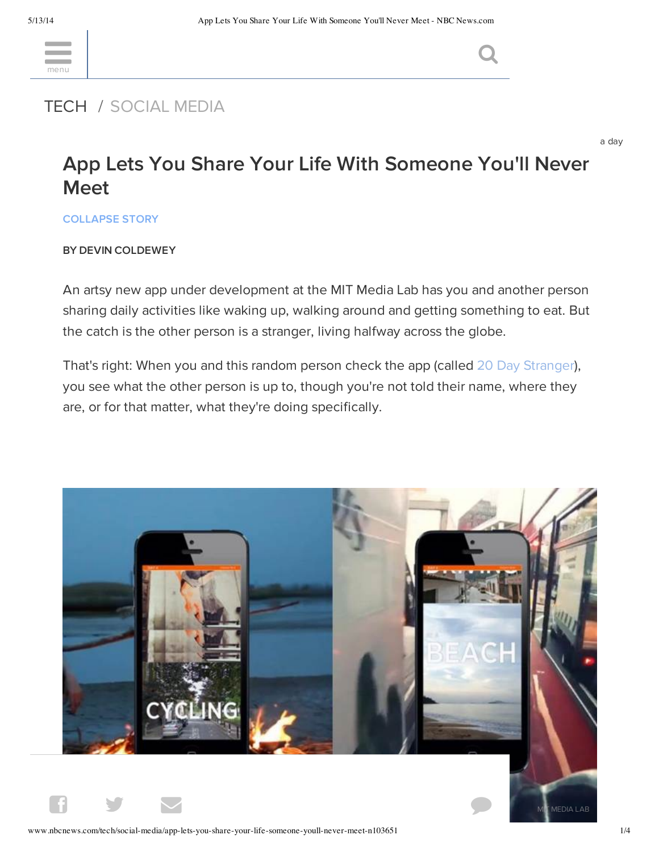<u>menu</u>

# [TECH](http://www.nbcnews.com/tech) / SOCIAL MEDIA

a day

# App Lets You Share Your Life With Someone You'll Never Meet

COLLAPSE STORY

### BY DEVIN COLDEWEY

An artsy new app under development at the MIT Media Lab has you and another person sharing daily activities like waking up, walking around and getting something to eat. But the catch is the other person is a stranger, living halfway across the globe.

That's right: When you and this random person check the app (called 20 Day [Stranger](http://www.20daystranger.com/)), you see what the other person is up to, though you're not told their name, where they are, or for that matter, what they're doing specifically.

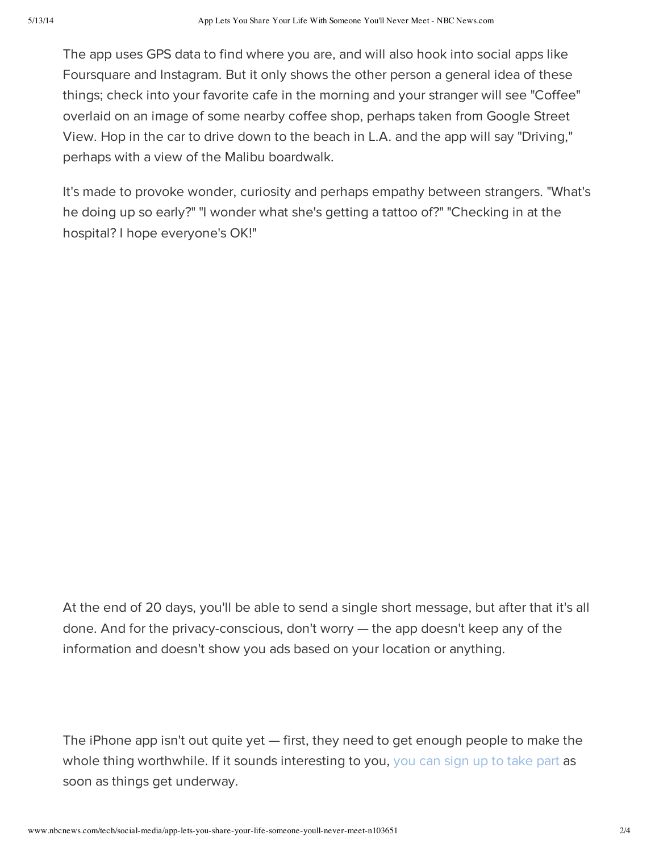The app uses GPS data to find where you are, and will also hook into social apps like Foursquare and Instagram. But it only shows the other person a general idea of these things; check into your favorite cafe in the morning and your stranger will see "Coffee" overlaid on an image of some nearby coffee shop, perhaps taken from Google Street View. Hop in the car to drive down to the beach in L.A. and the app will say "Driving," perhaps with a view of the Malibu boardwalk.

It's made to provoke wonder, curiosity and perhaps empathy between strangers. "What's he doing up so early?" "I wonder what she's getting a tattoo of?" "Checking in at the hospital? I hope everyone's OK!"

At the end of 20 days, you'll be able to send a single short message, but after that it's all done. And for the privacy-conscious, don't worry — the app doesn't keep any of the information and doesn't show you ads based on your location or anything.

The iPhone app isn't out quite yet — first, they need to get enough people to make the whole thing worthwhile. If it sounds interesting to you, you can sign up to take part as soon as things get underway.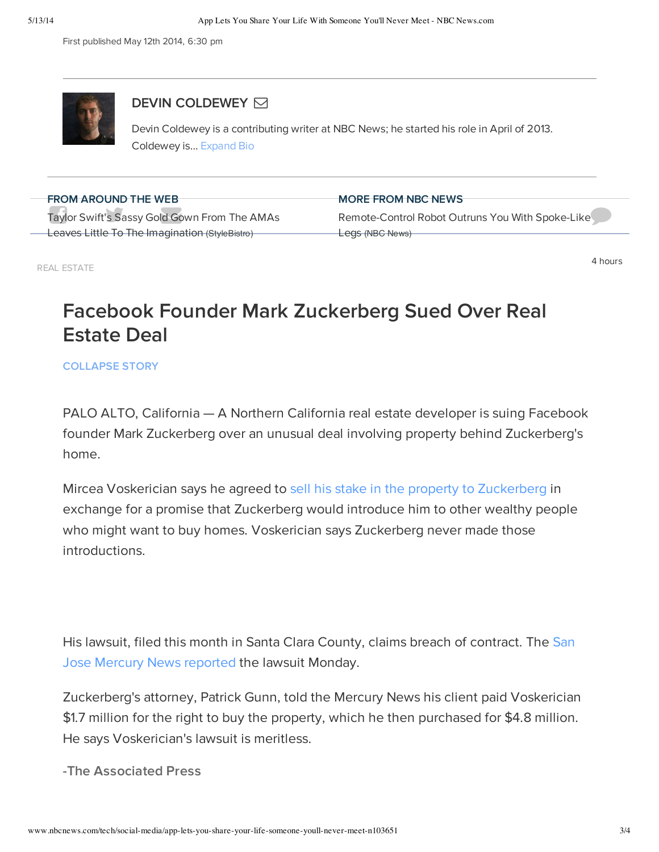First published May 12th 2014, 6:30 pm



## DEVIN COLDEWEY **⊠**

Devin Coldewey is a contributing writer at NBC News; he started his role in April of 2013. Coldewey is... Expand Bio

| <b>FROM AROUND THE WEB</b>                     | <b>MORE FROM NBC NEWS</b>                        |
|------------------------------------------------|--------------------------------------------------|
|                                                |                                                  |
| Taylor Swift's Sassy Gold Gown From The AMAs   | Remote-Control Robot Outruns You With Spoke-Like |
| Leaves Little To The Imagination (StyleBistro) |                                                  |
|                                                | Legs (NBC News)                                  |

REAL ESTATE

4 hours

#### [Facebook](http://blog.aarp.org/2013/11/19/the-night-grace-kelly-surprised-jfk-in-his-room/) Founder Mark Zuc[kerberg](http://www.nbcnews.com/news/us-news/florida-father-shot-wife-kids-setting-james-blakes-home-ablaze-n101776?lite) Sued Over Real  $\sim$ [Estate](http://blogs.ancestry.com/cm/2013/05/20/6-things-you-didnt-know-about-bonnie-and-clyde/) Deal House of Cards Effect: Netflix Raising Video

### COLLAPSE STORY

PALO ALTO, California — A Northern California real estate developer is suing Facebook founder Mark Zuckerberg over an unusual deal involving property behind Zuckerberg's home.

Mircea Voskerician says he agreed to sell his stake in the property to [Zuckerberg](http://www.nbcnews.com/business/real-estate/mark-zuckerberg-spends-30-million-four-homes-ensure-privacy-f8C11379396) in exchange for a promise that Zuckerberg would introduce him to other wealthy people who might want to buy homes. Voskerician says Zuckerberg never made those introductions.

His lawsuit, filed this month in Santa Clara County, claims breach of [contract.](http://www.mercurynews.com/ci_25749053/facebooks-mark-zuckerberg-sued-by-developer-real-estate) The San Jose Mercury News reported the lawsuit Monday.

Zuckerberg's attorney, Patrick Gunn, told the Mercury News his client paid Voskerician \$1.7 million for the right to buy the property, which he then purchased for \$4.8 million. He says Voskerician's lawsuit is meritless.

-The Associated Press